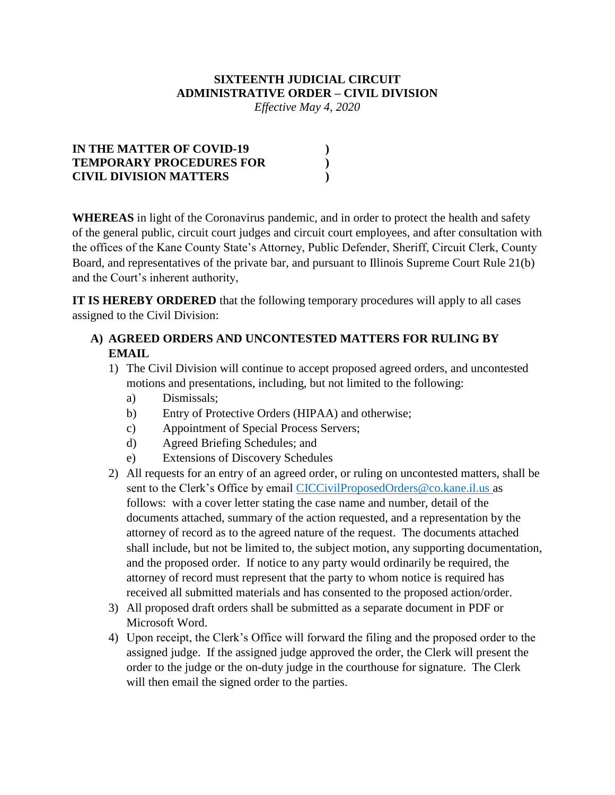#### **SIXTEENTH JUDICIAL CIRCUIT ADMINISTRATIVE ORDER – CIVIL DIVISION**

*Effective May 4, 2020*

| IN THE MATTER OF COVID-19       |  |
|---------------------------------|--|
| <b>TEMPORARY PROCEDURES FOR</b> |  |
| <b>CIVIL DIVISION MATTERS</b>   |  |

**WHEREAS** in light of the Coronavirus pandemic, and in order to protect the health and safety of the general public, circuit court judges and circuit court employees, and after consultation with the offices of the Kane County State's Attorney, Public Defender, Sheriff, Circuit Clerk, County Board, and representatives of the private bar, and pursuant to Illinois Supreme Court Rule 21(b) and the Court's inherent authority,

**IT IS HEREBY ORDERED** that the following temporary procedures will apply to all cases assigned to the Civil Division:

## **A) AGREED ORDERS AND UNCONTESTED MATTERS FOR RULING BY EMAIL**

- 1) The Civil Division will continue to accept proposed agreed orders, and uncontested motions and presentations, including, but not limited to the following:
	- a) Dismissals;
	- b) Entry of Protective Orders (HIPAA) and otherwise;
	- c) Appointment of Special Process Servers;
	- d) Agreed Briefing Schedules; and
	- e) Extensions of Discovery Schedules
- 2) All requests for an entry of an agreed order, or ruling on uncontested matters, shall be sent to the Clerk's Office by email CICCivilProposedOrders@co.kane.il.us as follows: with a cover letter stating the case name and number, detail of the documents attached, summary of the action requested, and a representation by the attorney of record as to the agreed nature of the request. The documents attached shall include, but not be limited to, the subject motion, any supporting documentation, and the proposed order. If notice to any party would ordinarily be required, the attorney of record must represent that the party to whom notice is required has received all submitted materials and has consented to the proposed action/order.
- 3) All proposed draft orders shall be submitted as a separate document in PDF or Microsoft Word.
- 4) Upon receipt, the Clerk's Office will forward the filing and the proposed order to the assigned judge. If the assigned judge approved the order, the Clerk will present the order to the judge or the on-duty judge in the courthouse for signature. The Clerk will then email the signed order to the parties.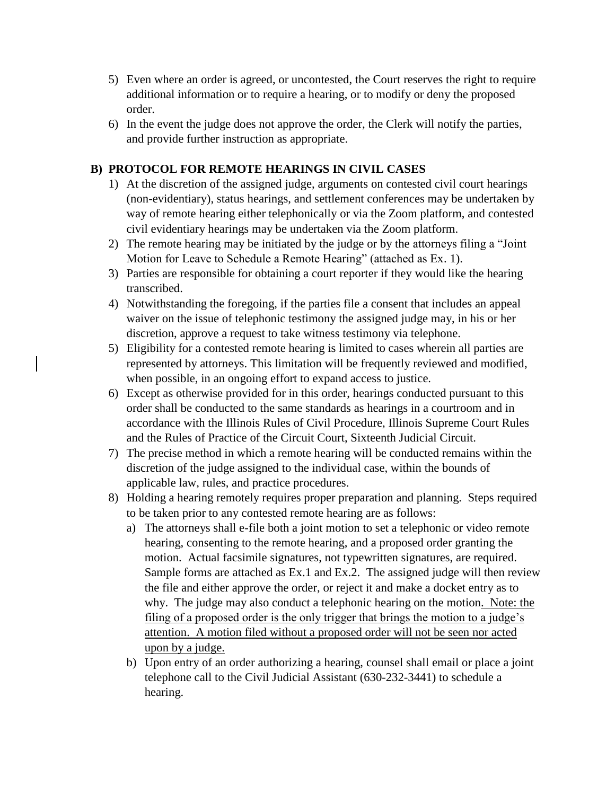- 5) Even where an order is agreed, or uncontested, the Court reserves the right to require additional information or to require a hearing, or to modify or deny the proposed order.
- 6) In the event the judge does not approve the order, the Clerk will notify the parties, and provide further instruction as appropriate.

### **B) PROTOCOL FOR REMOTE HEARINGS IN CIVIL CASES**

- 1) At the discretion of the assigned judge, arguments on contested civil court hearings (non-evidentiary), status hearings, and settlement conferences may be undertaken by way of remote hearing either telephonically or via the Zoom platform, and contested civil evidentiary hearings may be undertaken via the Zoom platform.
- 2) The remote hearing may be initiated by the judge or by the attorneys filing a "Joint Motion for Leave to Schedule a Remote Hearing" (attached as Ex. 1).
- 3) Parties are responsible for obtaining a court reporter if they would like the hearing transcribed.
- 4) Notwithstanding the foregoing, if the parties file a consent that includes an appeal waiver on the issue of telephonic testimony the assigned judge may, in his or her discretion, approve a request to take witness testimony via telephone.
- 5) Eligibility for a contested remote hearing is limited to cases wherein all parties are represented by attorneys. This limitation will be frequently reviewed and modified, when possible, in an ongoing effort to expand access to justice.
- 6) Except as otherwise provided for in this order, hearings conducted pursuant to this order shall be conducted to the same standards as hearings in a courtroom and in accordance with the Illinois Rules of Civil Procedure, Illinois Supreme Court Rules and the Rules of Practice of the Circuit Court, Sixteenth Judicial Circuit.
- 7) The precise method in which a remote hearing will be conducted remains within the discretion of the judge assigned to the individual case, within the bounds of applicable law, rules, and practice procedures.
- 8) Holding a hearing remotely requires proper preparation and planning. Steps required to be taken prior to any contested remote hearing are as follows:
	- a) The attorneys shall e-file both a joint motion to set a telephonic or video remote hearing, consenting to the remote hearing, and a proposed order granting the motion. Actual facsimile signatures, not typewritten signatures, are required. Sample forms are attached as Ex.1 and Ex.2. The assigned judge will then review the file and either approve the order, or reject it and make a docket entry as to why. The judge may also conduct a telephonic hearing on the motion. Note: the filing of a proposed order is the only trigger that brings the motion to a judge's attention. A motion filed without a proposed order will not be seen nor acted upon by a judge.
	- b) Upon entry of an order authorizing a hearing, counsel shall email or place a joint telephone call to the Civil Judicial Assistant (630-232-3441) to schedule a hearing.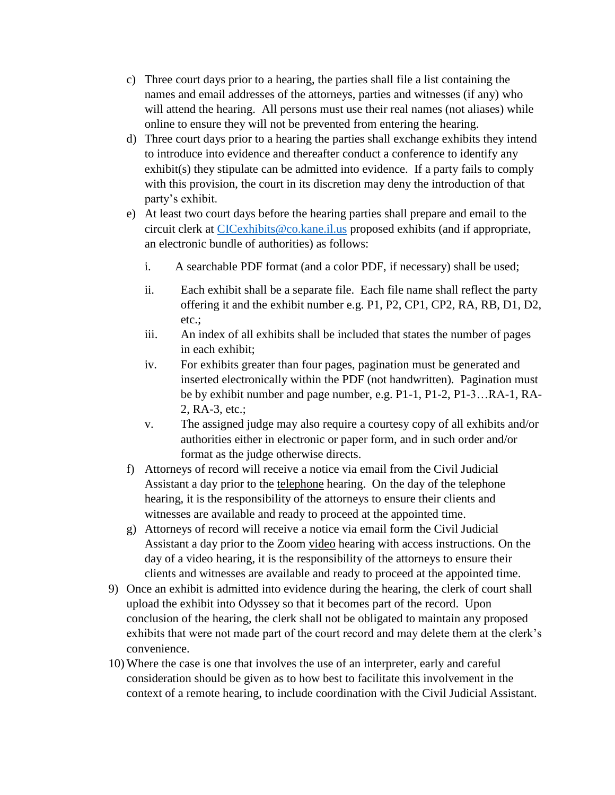- c) Three court days prior to a hearing, the parties shall file a list containing the names and email addresses of the attorneys, parties and witnesses (if any) who will attend the hearing. All persons must use their real names (not aliases) while online to ensure they will not be prevented from entering the hearing.
- d) Three court days prior to a hearing the parties shall exchange exhibits they intend to introduce into evidence and thereafter conduct a conference to identify any exhibit(s) they stipulate can be admitted into evidence. If a party fails to comply with this provision, the court in its discretion may deny the introduction of that party's exhibit.
- e) At least two court days before the hearing parties shall prepare and email to the circuit clerk at [CICexhibits@co.kane.il.us](mailto:CICexhibits@co.kane.il.us) proposed exhibits (and if appropriate, an electronic bundle of authorities) as follows:
	- i. A searchable PDF format (and a color PDF, if necessary) shall be used;
	- ii. Each exhibit shall be a separate file. Each file name shall reflect the party offering it and the exhibit number e.g. P1, P2, CP1, CP2, RA, RB, D1, D2, etc.;
	- iii. An index of all exhibits shall be included that states the number of pages in each exhibit;
	- iv. For exhibits greater than four pages, pagination must be generated and inserted electronically within the PDF (not handwritten). Pagination must be by exhibit number and page number, e.g. P1-1, P1-2, P1-3…RA-1, RA-2, RA-3, etc.;
	- v. The assigned judge may also require a courtesy copy of all exhibits and/or authorities either in electronic or paper form, and in such order and/or format as the judge otherwise directs.
- f) Attorneys of record will receive a notice via email from the Civil Judicial Assistant a day prior to the telephone hearing. On the day of the telephone hearing, it is the responsibility of the attorneys to ensure their clients and witnesses are available and ready to proceed at the appointed time.
- g) Attorneys of record will receive a notice via email form the Civil Judicial Assistant a day prior to the Zoom video hearing with access instructions. On the day of a video hearing, it is the responsibility of the attorneys to ensure their clients and witnesses are available and ready to proceed at the appointed time.
- 9) Once an exhibit is admitted into evidence during the hearing, the clerk of court shall upload the exhibit into Odyssey so that it becomes part of the record. Upon conclusion of the hearing, the clerk shall not be obligated to maintain any proposed exhibits that were not made part of the court record and may delete them at the clerk's convenience.
- 10) Where the case is one that involves the use of an interpreter, early and careful consideration should be given as to how best to facilitate this involvement in the context of a remote hearing, to include coordination with the Civil Judicial Assistant.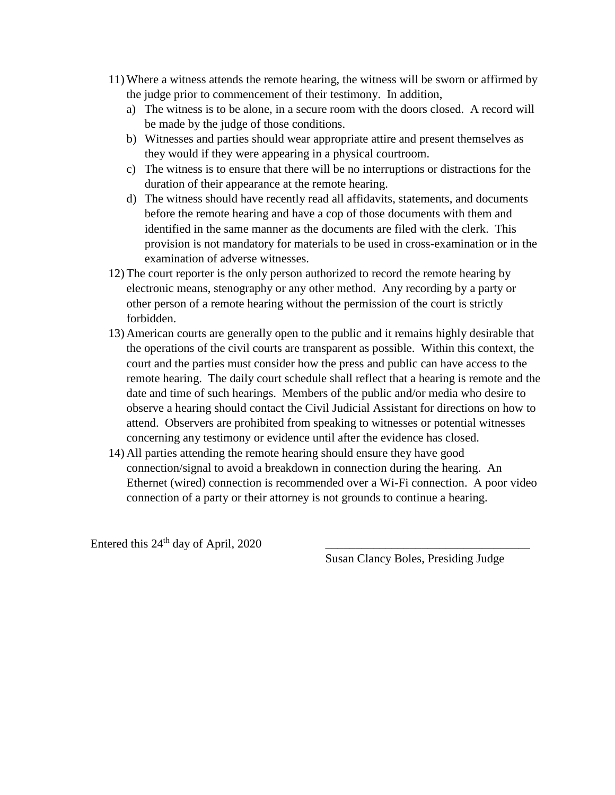- 11) Where a witness attends the remote hearing, the witness will be sworn or affirmed by the judge prior to commencement of their testimony. In addition,
	- a) The witness is to be alone, in a secure room with the doors closed. A record will be made by the judge of those conditions.
	- b) Witnesses and parties should wear appropriate attire and present themselves as they would if they were appearing in a physical courtroom.
	- c) The witness is to ensure that there will be no interruptions or distractions for the duration of their appearance at the remote hearing.
	- d) The witness should have recently read all affidavits, statements, and documents before the remote hearing and have a cop of those documents with them and identified in the same manner as the documents are filed with the clerk. This provision is not mandatory for materials to be used in cross-examination or in the examination of adverse witnesses.
- 12) The court reporter is the only person authorized to record the remote hearing by electronic means, stenography or any other method. Any recording by a party or other person of a remote hearing without the permission of the court is strictly forbidden.
- 13) American courts are generally open to the public and it remains highly desirable that the operations of the civil courts are transparent as possible. Within this context, the court and the parties must consider how the press and public can have access to the remote hearing. The daily court schedule shall reflect that a hearing is remote and the date and time of such hearings. Members of the public and/or media who desire to observe a hearing should contact the Civil Judicial Assistant for directions on how to attend. Observers are prohibited from speaking to witnesses or potential witnesses concerning any testimony or evidence until after the evidence has closed.
- 14) All parties attending the remote hearing should ensure they have good connection/signal to avoid a breakdown in connection during the hearing. An Ethernet (wired) connection is recommended over a Wi-Fi connection. A poor video connection of a party or their attorney is not grounds to continue a hearing.

Entered this 24<sup>th</sup> day of April, 2020

Susan Clancy Boles, Presiding Judge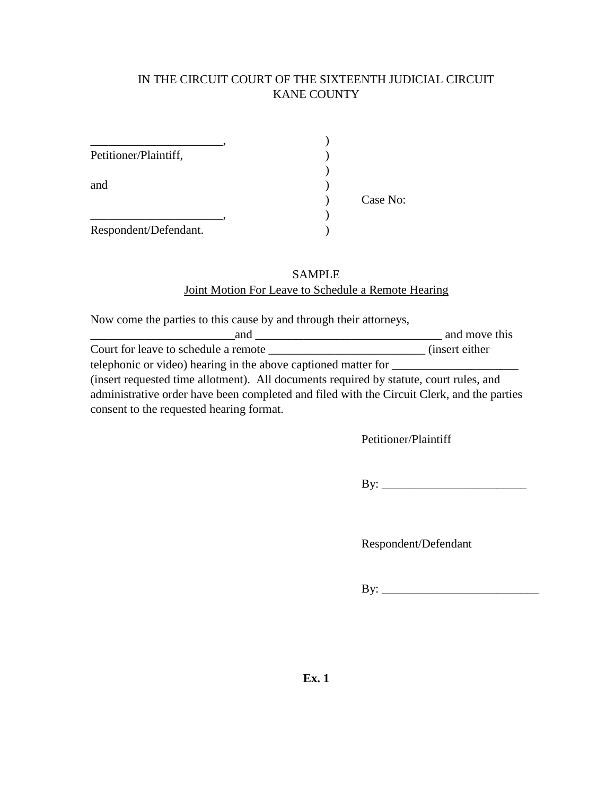### IN THE CIRCUIT COURT OF THE SIXTEENTH JUDICIAL CIRCUIT KANE COUNTY

| Petitioner/Plaintiff, |          |
|-----------------------|----------|
|                       |          |
| and                   |          |
|                       | Case No: |
|                       |          |
| Respondent/Defendant. |          |

#### SAMPLE Joint Motion For Leave to Schedule a Remote Hearing

Now come the parties to this cause by and through their attorneys,

| and                                                                                        | and move this   |  |
|--------------------------------------------------------------------------------------------|-----------------|--|
| Court for leave to schedule a remote                                                       | (insert either) |  |
| telephonic or video) hearing in the above captioned matter for                             |                 |  |
| (insert requested time allotment). All documents required by statute, court rules, and     |                 |  |
| administrative order have been completed and filed with the Circuit Clerk, and the parties |                 |  |
| consent to the requested hearing format.                                                   |                 |  |

Petitioner/Plaintiff

By: \_\_\_\_\_\_\_\_\_\_\_\_\_\_\_\_\_\_\_\_\_\_\_\_

Respondent/Defendant

By: \_\_\_\_\_\_\_\_\_\_\_\_\_\_\_\_\_\_\_\_\_\_\_\_\_\_